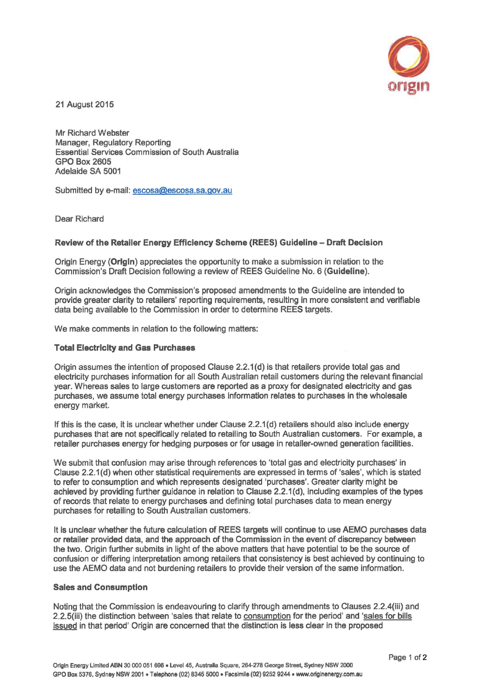

21 August 2015

Mr Richard Webster Manager, Regulatory Reporting Essential Services Commission of South Australia GPO Box2605 Adelaide SA 5001

Submitted by e-mail: escosa@escosa.sa.gov.au

Dear Richard

## Review of the Retailer Energy Efficiency Scheme (REES) Guideline - Draft Decision

Origin Energy (Origin) appreciates the opportunity to make a submission in relation to the Commission's Draft Decision following a review of REES Guideline No. 6 {Guideline).

Origin acknowledges the Commission's proposed amendments to the Guideline are intended to provide greater clarity to retailers' reporting requirements, resulting in more consistent and verifiable data being available to the Commission in order to determine REES targets.

We make comments in relation to the following matters:

## Total Electrlclty and Gas Purchases

Origin assumes the intention of proposed Clause 2.2.1 {d) is that retailers provide total gas and electricity purchases information for all South Australian retail customers during the relevant financial year. Whereas sales to large customers are reported as a proxy for designated electricity and gas purchases, we assume total energy purchases information relates to purchases in the wholesale energy market.

If this is the case, it is unclear whether under Clause 2.2.1 {d) retailers should also include energy purchases that are not specifically related to retailing to South Australian customers. For example, a retailer purchases energy for hedging purposes or for usage in retailer-owned generation facilities.

We submit that confusion may arise through references to 'total gas and electricity purchases' in Clause 2.2.1 { d) when other statistical requirements are expressed in terms of 'sales', which is stated to refer to consumption and which represents designated 'purchases'. Greater clarity might be achieved by providing further guidance in relation to Clause 2.2.1 {d), including examples of the types of records that relate to energy purchases and defining total purchases data to mean energy purchases for retailing to South Australian customers.

It is unclear whether the future calculation of REES targets will continue to use AEMO purchases data or retailer provided data, and the approach of the Commission in the event of discrepancy between the two. Origin further submits in light of the above matters that have potential to be the source of confusion or differing interpretation among retailers that consistency is best achieved by continuing to use the AEMO data and not burdening retailers to provide their version of the same information.

## Sales and Consumption

Noting that the Commission is endeavouring to clarify through amendments to Clauses 2.2.4(iii) and 2.2.5{iii) the distinction between 'sales that relate to consumption for the period' and 'sales for bills issued in that period' Origin are concerned that the distinction is less clear in the proposed